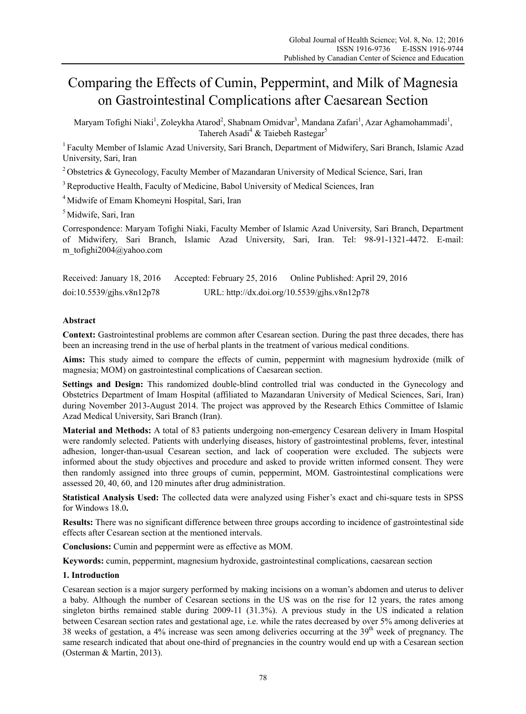# Comparing the Effects of Cumin, Peppermint, and Milk of Magnesia on Gastrointestinal Complications after Caesarean Section

Maryam Tofighi Niaki<sup>1</sup>, Zoleykha Atarod<sup>2</sup>, Shabnam Omidvar<sup>3</sup>, Mandana Zafari<sup>1</sup>, Azar Aghamohammadi<sup>1</sup>, Tahereh Asadi<sup>4</sup> & Taiebeh Rastegar<sup>5</sup>

1 Faculty Member of Islamic Azad University, Sari Branch, Department of Midwifery, Sari Branch, Islamic Azad University, Sari, Iran

2 Obstetrics & Gynecology, Faculty Member of Mazandaran University of Medical Science, Sari, Iran

<sup>3</sup> Reproductive Health, Faculty of Medicine, Babol University of Medical Sciences, Iran

4 Midwife of Emam Khomeyni Hospital, Sari, Iran

<sup>5</sup> Midwife, Sari, Iran

Correspondence: Maryam Tofighi Niaki, Faculty Member of Islamic Azad University, Sari Branch, Department of Midwifery, Sari Branch, Islamic Azad University, Sari, Iran. Tel: 98-91-1321-4472. E-mail: m\_tofighi2004@yahoo.com

Received: January 18, 2016 Accepted: February 25, 2016 Online Published: April 29, 2016 doi:10.5539/gjhs.v8n12p78 URL: http://dx.doi.org/10.5539/gjhs.v8n12p78

## **Abstract**

**Context:** Gastrointestinal problems are common after Cesarean section. During the past three decades, there has been an increasing trend in the use of herbal plants in the treatment of various medical conditions.

**Aims:** This study aimed to compare the effects of cumin, peppermint with magnesium hydroxide (milk of magnesia; MOM) on gastrointestinal complications of Caesarean section.

**Settings and Design:** This randomized double-blind controlled trial was conducted in the Gynecology and Obstetrics Department of Imam Hospital (affiliated to Mazandaran University of Medical Sciences, Sari, Iran) during November 2013-August 2014. The project was approved by the Research Ethics Committee of Islamic Azad Medical University, Sari Branch (Iran).

**Material and Methods:** A total of 83 patients undergoing non-emergency Cesarean delivery in Imam Hospital were randomly selected. Patients with underlying diseases, history of gastrointestinal problems, fever, intestinal adhesion, longer-than-usual Cesarean section, and lack of cooperation were excluded. The subjects were informed about the study objectives and procedure and asked to provide written informed consent. They were then randomly assigned into three groups of cumin, peppermint, MOM. Gastrointestinal complications were assessed 20, 40, 60, and 120 minutes after drug administration.

**Statistical Analysis Used:** The collected data were analyzed using Fisher's exact and chi-square tests in SPSS for Windows 18.0**.** 

**Results:** There was no significant difference between three groups according to incidence of gastrointestinal side effects after Cesarean section at the mentioned intervals.

**Conclusions:** Cumin and peppermint were as effective as MOM.

**Keywords:** cumin, peppermint, magnesium hydroxide, gastrointestinal complications, caesarean section

## **1. Introduction**

Cesarean section is a major surgery performed by making incisions on a woman's abdomen and uterus to deliver a baby. Although the number of Cesarean sections in the US was on the rise for 12 years, the rates among singleton births remained stable during 2009-11 (31.3%). A previous study in the US indicated a relation between Cesarean section rates and gestational age, i.e. while the rates decreased by over 5% among deliveries at 38 weeks of gestation, a 4% increase was seen among deliveries occurring at the 39<sup>th</sup> week of pregnancy. The same research indicated that about one-third of pregnancies in the country would end up with a Cesarean section (Osterman & Martin, 2013).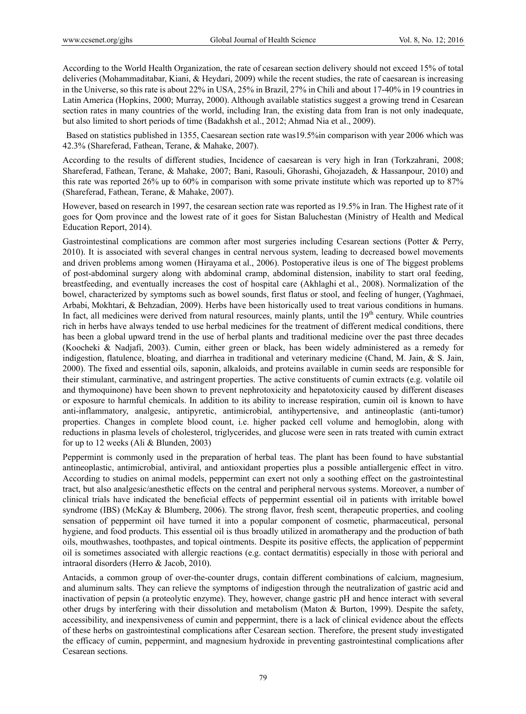According to the World Health Organization, the rate of cesarean section delivery should not exceed 15% of total deliveries (Mohammaditabar, Kiani, & Heydari, 2009) while the recent studies, the rate of caesarean is increasing in the Universe, so this rate is about 22% in USA, 25% in Brazil, 27% in Chili and about 17-40% in 19 countries in Latin America (Hopkins, 2000; Murray, 2000). Although available statistics suggest a growing trend in Cesarean section rates in many countries of the world, including Iran, the existing data from Iran is not only inadequate, but also limited to short periods of time (Badakhsh et al., 2012; Ahmad Nia et al., 2009).

 Based on statistics published in 1355, Caesarean section rate was19.5%in comparison with year 2006 which was 42.3% (Shareferad, Fathean, Terane, & Mahake, 2007).

According to the results of different studies, Incidence of caesarean is very high in Iran (Torkzahrani, 2008; Shareferad, Fathean, Terane, & Mahake, 2007; Bani, Rasouli, Ghorashi, Ghojazadeh, & Hassanpour, 2010) and this rate was reported 26% up to 60% in comparison with some private institute which was reported up to 87% (Shareferad, Fathean, Terane, & Mahake, 2007).

However, based on research in 1997, the cesarean section rate was reported as 19.5% in Iran. The Highest rate of it goes for Qom province and the lowest rate of it goes for Sistan Baluchestan (Ministry of Health and Medical Education Report, 2014).

Gastrointestinal complications are common after most surgeries including Cesarean sections (Potter & Perry, 2010). It is associated with several changes in central nervous system, leading to decreased bowel movements and driven problems among women (Hirayama et al., 2006). Postoperative ileus is one of The biggest problems of post-abdominal surgery along with abdominal cramp, abdominal distension, inability to start oral feeding, breastfeeding, and eventually increases the cost of hospital care (Akhlaghi et al., 2008). Normalization of the bowel, characterized by symptoms such as bowel sounds, first flatus or stool, and feeling of hunger, (Yaghmaei, Arbabi, Mokhtari, & Behzadian, 2009). Herbs have been historically used to treat various conditions in humans. In fact, all medicines were derived from natural resources, mainly plants, until the  $19<sup>th</sup>$  century. While countries rich in herbs have always tended to use herbal medicines for the treatment of different medical conditions, there has been a global upward trend in the use of herbal plants and traditional medicine over the past three decades (Koocheki & Nadjafi, 2003). Cumin, either green or black, has been widely administered as a remedy for indigestion, flatulence, bloating, and diarrhea in traditional and veterinary medicine (Chand, M. Jain, & S. Jain, 2000). The fixed and essential oils, saponin, alkaloids, and proteins available in cumin seeds are responsible for their stimulant, carminative, and astringent properties. The active constituents of cumin extracts (e.g. volatile oil and thymoquinone) have been shown to prevent nephrotoxicity and hepatotoxicity caused by different diseases or exposure to harmful chemicals. In addition to its ability to increase respiration, cumin oil is known to have anti-inflammatory, analgesic, antipyretic, antimicrobial, antihypertensive, and antineoplastic (anti-tumor) properties. Changes in complete blood count, i.e. higher packed cell volume and hemoglobin, along with reductions in plasma levels of cholesterol, triglycerides, and glucose were seen in rats treated with cumin extract for up to 12 weeks (Ali & Blunden, 2003)

Peppermint is commonly used in the preparation of herbal teas. The plant has been found to have substantial antineoplastic, antimicrobial, antiviral, and antioxidant properties plus a possible antiallergenic effect in vitro. According to studies on animal models, peppermint can exert not only a soothing effect on the gastrointestinal tract, but also analgesic/anesthetic effects on the central and peripheral nervous systems. Moreover, a number of clinical trials have indicated the beneficial effects of peppermint essential oil in patients with irritable bowel syndrome (IBS) (McKay & Blumberg, 2006). The strong flavor, fresh scent, therapeutic properties, and cooling sensation of peppermint oil have turned it into a popular component of cosmetic, pharmaceutical, personal hygiene, and food products. This essential oil is thus broadly utilized in aromatherapy and the production of bath oils, mouthwashes, toothpastes, and topical ointments. Despite its positive effects, the application of peppermint oil is sometimes associated with allergic reactions (e.g. contact dermatitis) especially in those with perioral and intraoral disorders (Herro & Jacob, 2010).

Antacids, a common group of over-the-counter drugs, contain different combinations of calcium, magnesium, and aluminum salts. They can relieve the symptoms of indigestion through the neutralization of gastric acid and inactivation of pepsin (a proteolytic enzyme). They, however, change gastric pH and hence interact with several other drugs by interfering with their dissolution and metabolism (Maton & Burton, 1999). Despite the safety, accessibility, and inexpensiveness of cumin and peppermint, there is a lack of clinical evidence about the effects of these herbs on gastrointestinal complications after Cesarean section. Therefore, the present study investigated the efficacy of cumin, peppermint, and magnesium hydroxide in preventing gastrointestinal complications after Cesarean sections.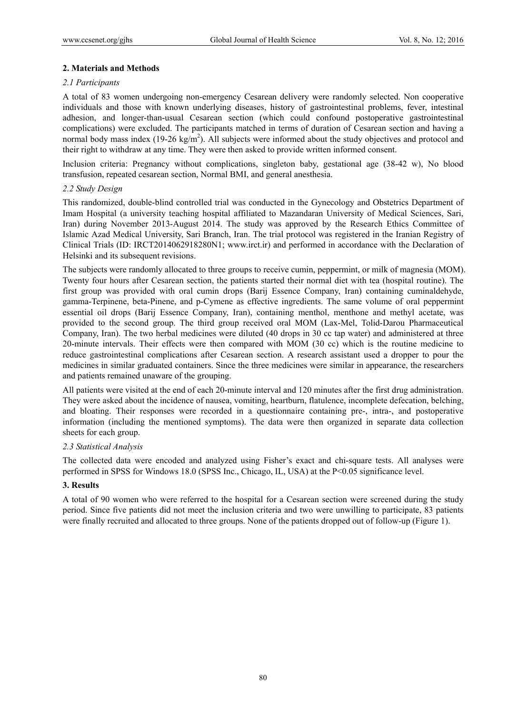## **2. Materials and Methods**

## *2.1 Participants*

A total of 83 women undergoing non-emergency Cesarean delivery were randomly selected. Non cooperative individuals and those with known underlying diseases, history of gastrointestinal problems, fever, intestinal adhesion, and longer-than-usual Cesarean section (which could confound postoperative gastrointestinal complications) were excluded. The participants matched in terms of duration of Cesarean section and having a normal body mass index  $(19-26 \text{ kg/m}^2)$ . All subjects were informed about the study objectives and protocol and their right to withdraw at any time. They were then asked to provide written informed consent.

Inclusion criteria: Pregnancy without complications, singleton baby, gestational age (38-42 w), No blood transfusion, repeated cesarean section, Normal BMI, and general anesthesia.

## *2.2 Study Design*

This randomized, double-blind controlled trial was conducted in the Gynecology and Obstetrics Department of Imam Hospital (a university teaching hospital affiliated to Mazandaran University of Medical Sciences, Sari, Iran) during November 2013-August 2014. The study was approved by the Research Ethics Committee of Islamic Azad Medical University, Sari Branch, Iran. The trial protocol was registered in the Iranian Registry of Clinical Trials (ID: IRCT2014062918280N1; www.irct.ir) and performed in accordance with the Declaration of Helsinki and its subsequent revisions.

The subjects were randomly allocated to three groups to receive cumin, peppermint, or milk of magnesia (MOM). Twenty four hours after Cesarean section, the patients started their normal diet with tea (hospital routine). The first group was provided with oral cumin drops (Barij Essence Company, Iran) containing cuminaldehyde, gamma-Terpinene, beta-Pinene, and p-Cymene as effective ingredients. The same volume of oral peppermint essential oil drops (Barij Essence Company, Iran), containing menthol, menthone and methyl acetate, was provided to the second group. The third group received oral MOM (Lax-Mel, Tolid-Darou Pharmaceutical Company, Iran). The two herbal medicines were diluted (40 drops in 30 cc tap water) and administered at three 20-minute intervals. Their effects were then compared with MOM (30 cc) which is the routine medicine to reduce gastrointestinal complications after Cesarean section. A research assistant used a dropper to pour the medicines in similar graduated containers. Since the three medicines were similar in appearance, the researchers and patients remained unaware of the grouping.

All patients were visited at the end of each 20-minute interval and 120 minutes after the first drug administration. They were asked about the incidence of nausea, vomiting, heartburn, flatulence, incomplete defecation, belching, and bloating. Their responses were recorded in a questionnaire containing pre-, intra-, and postoperative information (including the mentioned symptoms). The data were then organized in separate data collection sheets for each group.

## *2.3 Statistical Analysis*

The collected data were encoded and analyzed using Fisher's exact and chi-square tests. All analyses were performed in SPSS for Windows 18.0 (SPSS Inc., Chicago, IL, USA) at the P<0.05 significance level.

#### **3. Results**

A total of 90 women who were referred to the hospital for a Cesarean section were screened during the study period. Since five patients did not meet the inclusion criteria and two were unwilling to participate, 83 patients were finally recruited and allocated to three groups. None of the patients dropped out of follow-up (Figure 1).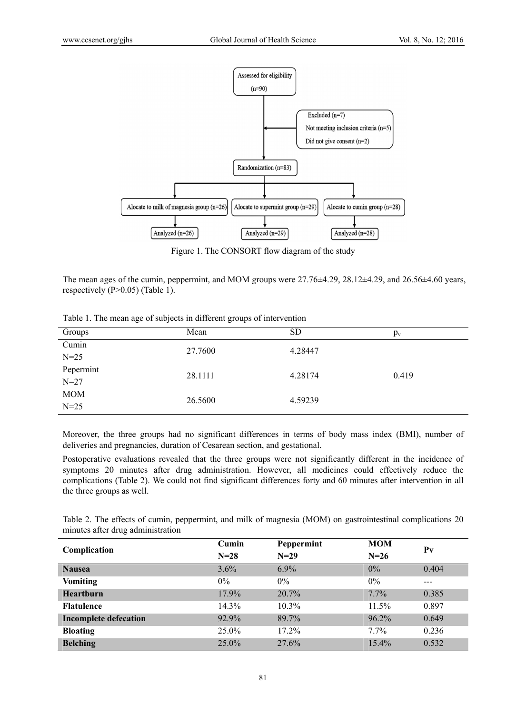

Figure 1. The CONSORT flow diagram of the study

The mean ages of the cumin, peppermint, and MOM groups were  $27.76\pm4.29$ ,  $28.12\pm4.29$ , and  $26.56\pm4.60$  years, respectively (P>0.05) (Table 1).

|  | Table 1. The mean age of subjects in different groups of intervention |
|--|-----------------------------------------------------------------------|
|  |                                                                       |

| Groups     | Mean    | <b>SD</b> | $p_v$ |
|------------|---------|-----------|-------|
| Cumin      | 27.7600 | 4.28447   |       |
| $N = 25$   |         |           |       |
| Pepermint  | 28.1111 | 4.28174   | 0.419 |
| $N = 27$   |         |           |       |
| <b>MOM</b> |         |           |       |
| $N=25$     | 26.5600 | 4.59239   |       |

Moreover, the three groups had no significant differences in terms of body mass index (BMI), number of deliveries and pregnancies, duration of Cesarean section, and gestational.

Postoperative evaluations revealed that the three groups were not significantly different in the incidence of symptoms 20 minutes after drug administration. However, all medicines could effectively reduce the complications (Table 2). We could not find significant differences forty and 60 minutes after intervention in all the three groups as well.

Table 2. The effects of cumin, peppermint, and milk of magnesia (MOM) on gastrointestinal complications 20 minutes after drug administration

| Complication                 | Cumin<br>$N = 28$ | Peppermint<br>$N=29$ | <b>MOM</b><br>$N=26$ | $P_{V}$ |
|------------------------------|-------------------|----------------------|----------------------|---------|
| <b>Nausea</b>                | 3.6%              | 6.9%                 | $0\%$                | 0.404   |
| <b>Vomiting</b>              | $0\%$             | $0\%$                | $0\%$                | ---     |
| <b>Heartburn</b>             | 17.9%             | 20.7%                | 7.7%                 | 0.385   |
| <b>Flatulence</b>            | 14.3%             | 10.3%                | 11.5%                | 0.897   |
| <b>Incomplete defecation</b> | 92.9%             | 89.7%                | 96.2%                | 0.649   |
| <b>Bloating</b>              | $25.0\%$          | 17.2%                | $7.7\%$              | 0.236   |
| <b>Belching</b>              | $25.0\%$          | 27.6%                | 15.4%                | 0.532   |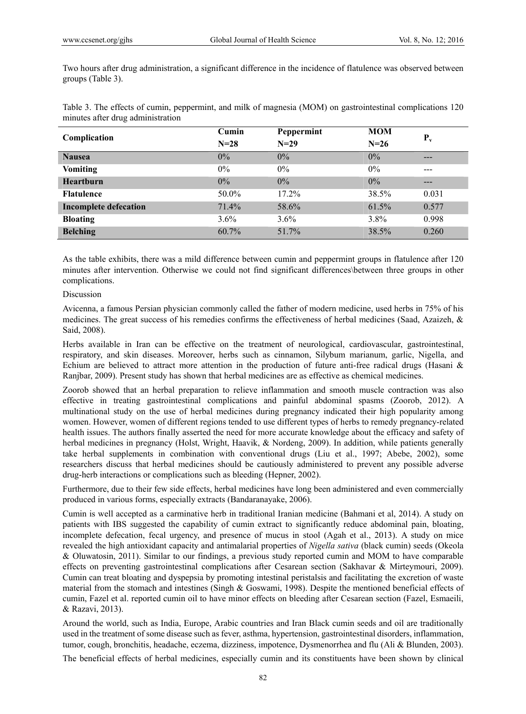Two hours after drug administration, a significant difference in the incidence of flatulence was observed between groups (Table 3).

Table 3. The effects of cumin, peppermint, and milk of magnesia (MOM) on gastrointestinal complications 120 minutes after drug administration

| Complication                 | Cumin    | Peppermint | <b>MOM</b> | $P_v$ |
|------------------------------|----------|------------|------------|-------|
|                              | $N = 28$ | $N=29$     | $N=26$     |       |
| <b>Nausea</b>                | $0\%$    | $0\%$      | $0\%$      | ---   |
| <b>Vomiting</b>              | $0\%$    | $0\%$      | $0\%$      | ---   |
| <b>Heartburn</b>             | 0%       | 0%         | 0%         | ---   |
| <b>Flatulence</b>            | 50.0%    | 17.2%      | 38.5%      | 0.031 |
| <b>Incomplete defecation</b> | 71.4%    | 58.6%      | 61.5%      | 0.577 |
| <b>Bloating</b>              | $3.6\%$  | $3.6\%$    | 3.8%       | 0.998 |
| <b>Belching</b>              | 60.7%    | 51.7%      | 38.5%      | 0.260 |

As the table exhibits, there was a mild difference between cumin and peppermint groups in flatulence after 120 minutes after intervention. Otherwise we could not find significant differences\between three groups in other complications.

#### Discussion

Avicenna, a famous Persian physician commonly called the father of modern medicine, used herbs in 75% of his medicines. The great success of his remedies confirms the effectiveness of herbal medicines (Saad, Azaizeh, & Said, 2008).

Herbs available in Iran can be effective on the treatment of neurological, cardiovascular, gastrointestinal, respiratory, and skin diseases. Moreover, herbs such as cinnamon, Silybum marianum, garlic, Nigella, and Echium are believed to attract more attention in the production of future anti-free radical drugs (Hasani & Ranjbar, 2009). Present study has shown that herbal medicines are as effective as chemical medicines.

Zoorob showed that an herbal preparation to relieve inflammation and smooth muscle contraction was also effective in treating gastrointestinal complications and painful abdominal spasms (Zoorob, 2012). A multinational study on the use of herbal medicines during pregnancy indicated their high popularity among women. However, women of different regions tended to use different types of herbs to remedy pregnancy-related health issues. The authors finally asserted the need for more accurate knowledge about the efficacy and safety of herbal medicines in pregnancy (Holst, Wright, Haavik, & Nordeng, 2009). In addition, while patients generally take herbal supplements in combination with conventional drugs (Liu et al., 1997; Abebe, 2002), some researchers discuss that herbal medicines should be cautiously administered to prevent any possible adverse drug-herb interactions or complications such as bleeding (Hepner, 2002).

Furthermore, due to their few side effects, herbal medicines have long been administered and even commercially produced in various forms, especially extracts (Bandaranayake, 2006).

Cumin is well accepted as a carminative herb in traditional Iranian medicine (Bahmani et al, 2014). A study on patients with IBS suggested the capability of cumin extract to significantly reduce abdominal pain, bloating, incomplete defecation, fecal urgency, and presence of mucus in stool (Agah et al., 2013). A study on mice revealed the high antioxidant capacity and antimalarial properties of *Nigella sativa* (black cumin) seeds (Okeola & Oluwatosin, 2011). Similar to our findings, a previous study reported cumin and MOM to have comparable effects on preventing gastrointestinal complications after Cesarean section (Sakhavar & Mirteymouri, 2009). Cumin can treat bloating and dyspepsia by promoting intestinal peristalsis and facilitating the excretion of waste material from the stomach and intestines (Singh & Goswami, 1998). Despite the mentioned beneficial effects of cumin, Fazel et al. reported cumin oil to have minor effects on bleeding after Cesarean section (Fazel, Esmaeili, & Razavi, 2013).

Around the world, such as India, Europe, Arabic countries and Iran Black cumin seeds and oil are traditionally used in the treatment of some disease such as fever, asthma, hypertension, gastrointestinal disorders, inflammation, tumor, cough, bronchitis, headache, eczema, dizziness, impotence, Dysmenorrhea and flu (Ali & Blunden, 2003).

The beneficial effects of herbal medicines, especially cumin and its constituents have been shown by clinical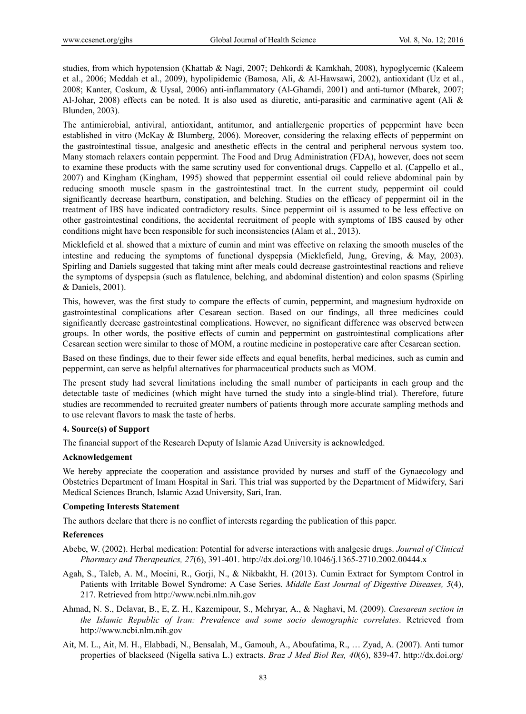studies, from which hypotension (Khattab & Nagi, 2007; Dehkordi & Kamkhah, 2008), hypoglycemic (Kaleem et al., 2006; Meddah et al., 2009), hypolipidemic (Bamosa, Ali, & Al-Hawsawi, 2002), antioxidant (Uz et al., 2008; Kanter, Coskum, & Uysal, 2006) anti-inflammatory (Al-Ghamdi, 2001) and anti-tumor (Mbarek, 2007; Al-Johar, 2008) effects can be noted. It is also used as diuretic, anti-parasitic and carminative agent (Ali & Blunden, 2003).

The antimicrobial, antiviral, antioxidant, antitumor, and antiallergenic properties of peppermint have been established in vitro (McKay & Blumberg, 2006). Moreover, considering the relaxing effects of peppermint on the gastrointestinal tissue, analgesic and anesthetic effects in the central and peripheral nervous system too. Many stomach relaxers contain peppermint. The Food and Drug Administration (FDA), however, does not seem to examine these products with the same scrutiny used for conventional drugs. Cappello et al. (Cappello et al., 2007) and Kingham (Kingham, 1995) showed that peppermint essential oil could relieve abdominal pain by reducing smooth muscle spasm in the gastrointestinal tract. In the current study, peppermint oil could significantly decrease heartburn, constipation, and belching. Studies on the efficacy of peppermint oil in the treatment of IBS have indicated contradictory results. Since peppermint oil is assumed to be less effective on other gastrointestinal conditions, the accidental recruitment of people with symptoms of IBS caused by other conditions might have been responsible for such inconsistencies (Alam et al., 2013).

Micklefield et al. showed that a mixture of cumin and mint was effective on relaxing the smooth muscles of the intestine and reducing the symptoms of functional dyspepsia (Micklefield, Jung, Greving, & May, 2003). Spirling and Daniels suggested that taking mint after meals could decrease gastrointestinal reactions and relieve the symptoms of dyspepsia (such as flatulence, belching, and abdominal distention) and colon spasms (Spirling & Daniels, 2001).

This, however, was the first study to compare the effects of cumin, peppermint, and magnesium hydroxide on gastrointestinal complications after Cesarean section. Based on our findings, all three medicines could significantly decrease gastrointestinal complications. However, no significant difference was observed between groups. In other words, the positive effects of cumin and peppermint on gastrointestinal complications after Cesarean section were similar to those of MOM, a routine medicine in postoperative care after Cesarean section.

Based on these findings, due to their fewer side effects and equal benefits, herbal medicines, such as cumin and peppermint, can serve as helpful alternatives for pharmaceutical products such as MOM.

The present study had several limitations including the small number of participants in each group and the detectable taste of medicines (which might have turned the study into a single-blind trial). Therefore, future studies are recommended to recruited greater numbers of patients through more accurate sampling methods and to use relevant flavors to mask the taste of herbs.

## **4. Source(s) of Support**

The financial support of the Research Deputy of Islamic Azad University is acknowledged.

#### **Acknowledgement**

We hereby appreciate the cooperation and assistance provided by nurses and staff of the Gynaecology and Obstetrics Department of Imam Hospital in Sari. This trial was supported by the Department of Midwifery, Sari Medical Sciences Branch, Islamic Azad University, Sari, Iran.

## **Competing Interests Statement**

The authors declare that there is no conflict of interests regarding the publication of this paper.

#### **References**

- Abebe, W. (2002). Herbal medication: Potential for adverse interactions with analgesic drugs. *Journal of Clinical Pharmacy and Therapeutics, 27*(6), 391-401. http://dx.doi.org/10.1046/j.1365-2710.2002.00444.x
- Agah, S., Taleb, A. M., Moeini, R., Gorji, N., & Nikbakht, H. (2013). Cumin Extract for Symptom Control in Patients with Irritable Bowel Syndrome: A Case Series. *Middle East Journal of Digestive Diseases, 5*(4), 217. Retrieved from http://www.ncbi.nlm.nih.gov
- Ahmad, N. S., Delavar, B., E, Z. H., Kazemipour, S., Mehryar, A., & Naghavi, M. (2009). *Caesarean section in the Islamic Republic of Iran: Prevalence and some socio demographic correlates*. Retrieved from http://www.ncbi.nlm.nih.gov
- Ait, M. L., Ait, M. H., Elabbadi, N., Bensalah, M., Gamouh, A., Aboufatima, R., … Zyad, A. (2007). Anti tumor properties of blackseed (Nigella sativa L.) extracts. *Braz J Med Biol Res, 40*(6), 839-47. http://dx.doi.org/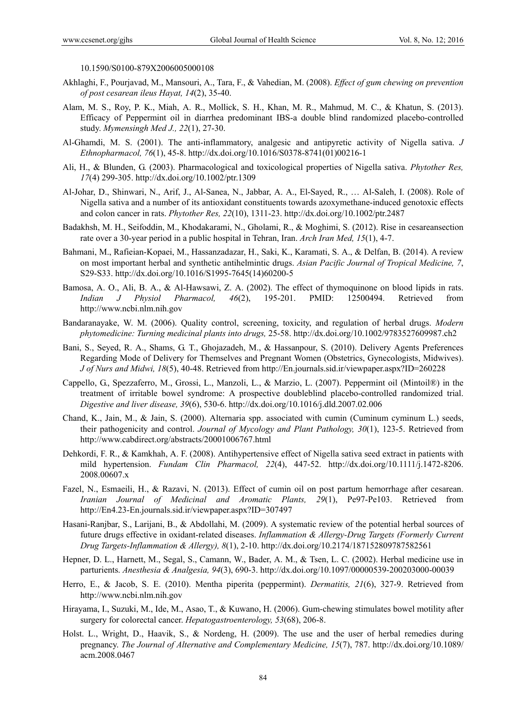10.1590/S0100-879X2006005000108

- Akhlaghi, F., Pourjavad, M., Mansouri, A., Tara, F., & Vahedian, M. (2008). *Effect of gum chewing on prevention of post cesarean ileus Hayat, 14*(2), 35-40.
- Alam, M. S., Roy, P. K., Miah, A. R., Mollick, S. H., Khan, M. R., Mahmud, M. C., & Khatun, S. (2013). Efficacy of Peppermint oil in diarrhea predominant IBS-a double blind randomized placebo-controlled study. *Mymensingh Med J., 22*(1), 27-30.
- Al-Ghamdi, M. S. (2001). The anti-inflammatory, analgesic and antipyretic activity of Nigella sativa. *J Ethnopharmacol, 76*(1), 45-8. http://dx.doi.org/10.1016/S0378-8741(01)00216-1
- Ali, H., & Blunden, G. (2003). Pharmacological and toxicological properties of Nigella sativa. *Phytother Res, 17*(4) 299-305. http://dx.doi.org/10.1002/ptr.1309
- Al-Johar, D., Shinwari, N., Arif, J., Al-Sanea, N., Jabbar, A. A., El-Sayed, R., … Al-Saleh, I. (2008). Role of Nigella sativa and a number of its antioxidant constituents towards azoxymethane-induced genotoxic effects and colon cancer in rats. *Phytother Res, 22*(10), 1311-23. http://dx.doi.org/10.1002/ptr.2487
- Badakhsh, M. H., Seifoddin, M., Khodakarami, N., Gholami, R., & Moghimi, S. (2012). Rise in cesareansection rate over a 30-year period in a public hospital in Tehran, Iran. *Arch Iran Med, 15*(1), 4-7.
- Bahmani, M., Rafieian-Kopaei, M., Hassanzadazar, H., Saki, K., Karamati, S. A., & Delfan, B. (2014). A review on most important herbal and synthetic antihelmintic drugs. *Asian Pacific Journal of Tropical Medicine, 7*, S29-S33. http://dx.doi.org/10.1016/S1995-7645(14)60200-5
- Bamosa, A. O., Ali, B. A., & Al-Hawsawi, Z. A. (2002). The effect of thymoquinone on blood lipids in rats. *Indian J Physiol Pharmacol, 46*(2), 195-201. PMID: 12500494. Retrieved from http://www.ncbi.nlm.nih.gov
- Bandaranayake, W. M. (2006). Quality control, screening, toxicity, and regulation of herbal drugs. *Modern phytomedicine: Turning medicinal plants into drugs,* 25-58. http://dx.doi.org/10.1002/9783527609987.ch2
- Bani, S., Seyed, R. A., Shams, G. T., Ghojazadeh, M., & Hassanpour, S. (2010). Delivery Agents Preferences Regarding Mode of Delivery for Themselves and Pregnant Women (Obstetrics, Gynecologists, Midwives). *J of Nurs and Midwi, 18*(5), 40-48. Retrieved from http://En.journals.sid.ir/viewpaper.aspx?ID=260228
- Cappello, G., Spezzaferro, M., Grossi, L., Manzoli, L., & Marzio, L. (2007). Peppermint oil (Mintoil®) in the treatment of irritable bowel syndrome: A prospective doubleblind placebo-controlled randomized trial. *Digestive and liver disease, 39*(6), 530-6. http://dx.doi.org/10.1016/j.dld.2007.02.006
- Chand, K., Jain, M., & Jain, S. (2000). Alternaria spp. associated with cumin (Cuminum cyminum L.) seeds, their pathogenicity and control. *Journal of Mycology and Plant Pathology, 30*(1), 123-5. Retrieved from http://www.cabdirect.org/abstracts/20001006767.html
- Dehkordi, F. R., & Kamkhah, A. F. (2008). Antihypertensive effect of Nigella sativa seed extract in patients with mild hypertension. *Fundam Clin Pharmacol, 22*(4), 447-52. http://dx.doi.org/10.1111/j.1472-8206. 2008.00607.x
- Fazel, N., Esmaeili, H., & Razavi, N. (2013). Effect of cumin oil on post partum hemorrhage after cesarean. *Iranian Journal of Medicinal and Aromatic Plants, 29*(1), Pe97-Pe103. Retrieved from http://En4.23-En.journals.sid.ir/viewpaper.aspx?ID=307497
- Hasani-Ranjbar, S., Larijani, B., & Abdollahi, M. (2009). A systematic review of the potential herbal sources of future drugs effective in oxidant-related diseases. *Inflammation & Allergy-Drug Targets (Formerly Current Drug Targets-Inflammation & Allergy), 8*(1), 2-10. http://dx.doi.org/10.2174/187152809787582561
- Hepner, D. L., Harnett, M., Segal, S., Camann, W., Bader, A. M., & Tsen, L. C. (2002). Herbal medicine use in parturients. *Anesthesia & Analgesia, 94*(3), 690-3. http://dx.doi.org/10.1097/00000539-200203000-00039
- Herro, E., & Jacob, S. E. (2010). Mentha piperita (peppermint). *Dermatitis, 21*(6), 327-9. Retrieved from http://www.ncbi.nlm.nih.gov
- Hirayama, I., Suzuki, M., Ide, M., Asao, T., & Kuwano, H. (2006). Gum-chewing stimulates bowel motility after surgery for colorectal cancer. *Hepatogastroenterology, 53*(68), 206-8.
- Holst. L., Wright, D., Haavik, S., & Nordeng, H. (2009). The use and the user of herbal remedies during pregnancy. *The Journal of Alternative and Complementary Medicine, 15*(7), 787. http://dx.doi.org/10.1089/ acm.2008.0467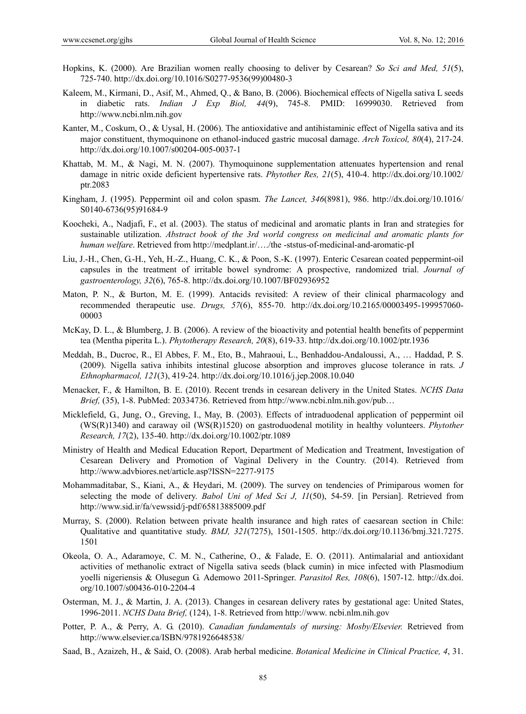- Hopkins, K. (2000). Are Brazilian women really choosing to deliver by Cesarean? *So Sci and Med, 51*(5), 725-740. http://dx.doi.org/10.1016/S0277-9536(99)00480-3
- Kaleem, M., Kirmani, D., Asif, M., Ahmed, Q., & Bano, B. (2006). Biochemical effects of Nigella sativa L seeds in diabetic rats. *Indian J Exp Biol, 44*(9), 745-8. PMID: 16999030. Retrieved from http://www.ncbi.nlm.nih.gov
- Kanter, M., Coskum, O., & Uysal, H. (2006). The antioxidative and antihistaminic effect of Nigella sativa and its major constituent, thymoquinone on ethanol-induced gastric mucosal damage. *Arch Toxicol, 80*(4), 217-24. http://dx.doi.org/10.1007/s00204-005-0037-1
- Khattab, M. M., & Nagi, M. N. (2007). Thymoquinone supplementation attenuates hypertension and renal damage in nitric oxide deficient hypertensive rats. *Phytother Res, 21*(5), 410-4. http://dx.doi.org/10.1002/ ptr.2083
- Kingham, J. (1995). Peppermint oil and colon spasm. *The Lancet, 346*(8981), 986. http://dx.doi.org/10.1016/ S0140-6736(95)91684-9
- Koocheki, A., Nadjafi, F., et al. (2003). The status of medicinal and aromatic plants in Iran and strategies for sustainable utilization. *Abstract book of the 3rd world congress on medicinal and aromatic plants for human welfare*. Retrieved from http://medplant.ir/…./the -ststus-of-medicinal-and-aromatic-pI
- Liu, J.-H., Chen, G.-H., Yeh, H.-Z., Huang, C. K., & Poon, S.-K. (1997). Enteric Cesarean coated peppermint-oil capsules in the treatment of irritable bowel syndrome: A prospective, randomized trial. *Journal of gastroenterology, 32*(6), 765-8. http://dx.doi.org/10.1007/BF02936952
- Maton, P. N., & Burton, M. E. (1999). Antacids revisited: A review of their clinical pharmacology and recommended therapeutic use. *Drugs, 57*(6), 855-70. http://dx.doi.org/10.2165/00003495-199957060- 00003
- McKay, D. L., & Blumberg, J. B. (2006). A review of the bioactivity and potential health benefits of peppermint tea (Mentha piperita L.). *Phytotherapy Research, 20*(8), 619-33. http://dx.doi.org/10.1002/ptr.1936
- Meddah, B., Ducroc, R., El Abbes, F. M., Eto, B., Mahraoui, L., Benhaddou-Andaloussi, A., … Haddad, P. S. (2009). Nigella sativa inhibits intestinal glucose absorption and improves glucose tolerance in rats. *J Ethnopharmacol, 121*(3), 419-24. http://dx.doi.org/10.1016/j.jep.2008.10.040
- Menacker, F., & Hamilton, B. E. (2010). Recent trends in cesarean delivery in the United States. *NCHS Data Brief,* (35), 1-8. PubMed: 20334736. Retrieved from http://www.ncbi.nlm.nih.gov/pub…
- Micklefield, G., Jung, O., Greving, I., May, B. (2003). Effects of intraduodenal application of peppermint oil (WS(R)1340) and caraway oil (WS(R)1520) on gastroduodenal motility in healthy volunteers. *Phytother Research, 17*(2), 135-40. http://dx.doi.org/10.1002/ptr.1089
- Ministry of Health and Medical Education Report, Department of Medication and Treatment, Investigation of Cesarean Delivery and Promotion of Vaginal Delivery in the Country. (2014). Retrieved from http://www.advbiores.net/article.asp?ISSN=2277-9175
- Mohammaditabar, S., Kiani, A., & Heydari, M. (2009). The survey on tendencies of Primiparous women for selecting the mode of delivery. *Babol Uni of Med Sci J, 11*(50), 54-59. [in Persian]. Retrieved from http://www.sid.ir/fa/vewssid/j-pdf/65813885009.pdf
- Murray, S. (2000). Relation between private health insurance and high rates of caesarean section in Chile: Qualitative and quantitative study. *BMJ, 321*(7275), 1501-1505. http://dx.doi.org/10.1136/bmj.321.7275. 1501
- Okeola, O. A., Adaramoye, C. M. N., Catherine, O., & Falade, E. O. (2011). Antimalarial and antioxidant activities of methanolic extract of Nigella sativa seeds (black cumin) in mice infected with Plasmodium yoelli nigeriensis & Olusegun G. Ademowo 2011-Springer. *Parasitol Res, 108*(6), 1507-12. http://dx.doi. org/10.1007/s00436-010-2204-4
- Osterman, M. J., & Martin, J. A. (2013). Changes in cesarean delivery rates by gestational age: United States, 1996-2011. *NCHS Data Brief,* (124), 1-8. Retrieved from http://www. ncbi.nlm.nih.gov
- Potter, P. A., & Perry, A. G. (2010). *Canadian fundamentals of nursing: Mosby/Elsevier.* Retrieved from http://www.elsevier.ca/ISBN/9781926648538/
- Saad, B., Azaizeh, H., & Said, O. (2008). Arab herbal medicine. *Botanical Medicine in Clinical Practice, 4*, 31.